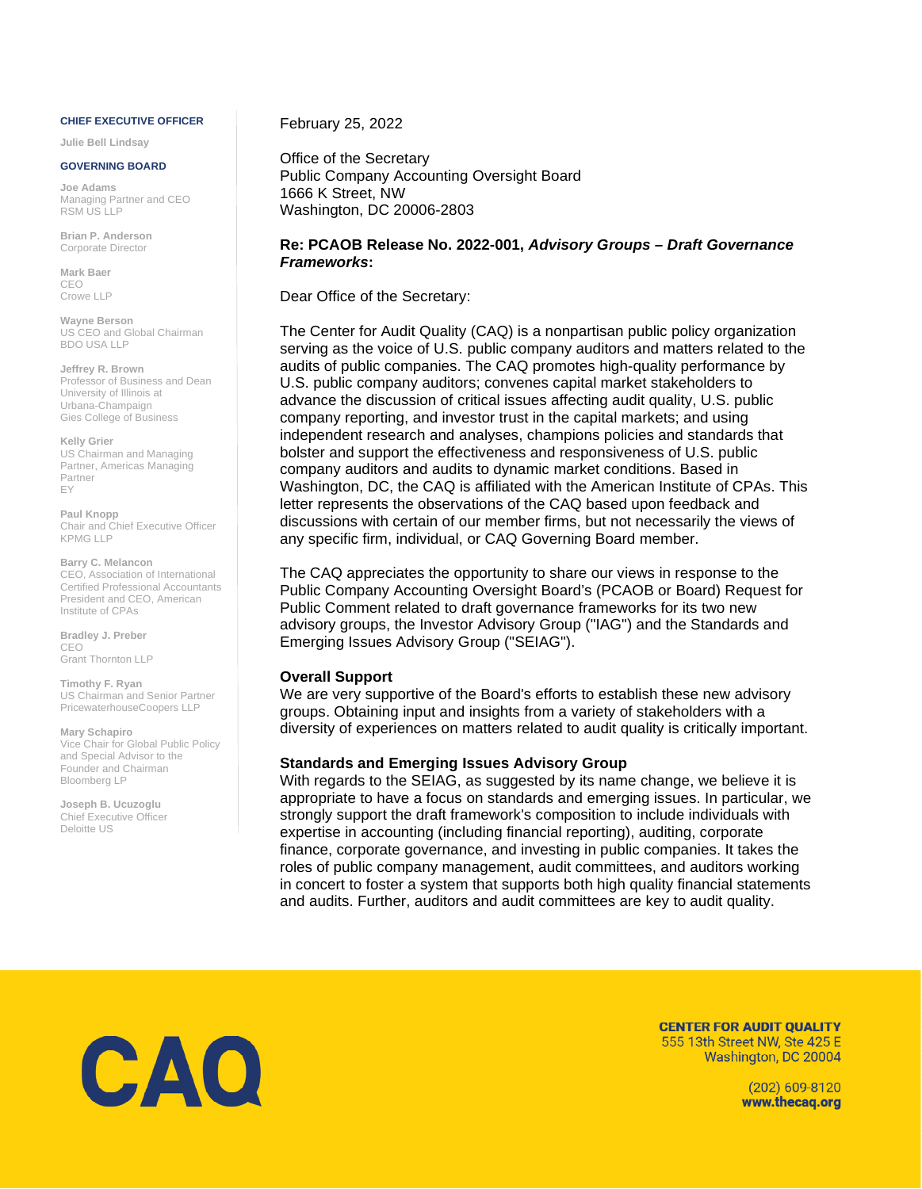### **CHIEF EXECUTIVE OFFICER**

**Julie Bell Lindsay** 

#### **GOVERNING BOARD**

**Joe Adams**  Managing Partner and CEO **RSMUSILP** 

**Brian P. Anderson**  Corporate Director

**Mark Baer**  CEO Crowe LLP

**Wayne Berson**  US CEO and Global Chairman BDO USA LLP

**Jeffrey R. Brown**  Professor of Business and Dean University of Illinois at Urbana-Champaign Gies College of Business

**Kelly Grier**  US Chairman and Managing Partner, Americas Managing Partner EY

**Paul Knopp**  Chair and Chief Executive Officer KPMG LLP

**Barry C. Melancon**  CEO, Association of International Certified Professional Accountants President and CEO, American Institute of CPAs

**Bradley J. Preber**  CEO Grant Thornton LLP

**Timothy F. Ryan**  US Chairman and Senior Partner PricewaterhouseCoopers LLP

**Mary Schapiro**  Vice Chair for Global Public Policy and Special Advisor to the Founder and Chairman Bloomberg LP

**Joseph B. Ucuzoglu**  Chief Executive Officer Deloitte US

February 25, 2022

Office of the Secretary Public Company Accounting Oversight Board 1666 K Street, NW Washington, DC 20006-2803

## **Re: PCAOB Release No. 2022-001,** *Advisory Groups – Draft Governance Frameworks***:**

Dear Office of the Secretary:

The Center for Audit Quality (CAQ) is a nonpartisan public policy organization serving as the voice of U.S. public company auditors and matters related to the audits of public companies. The CAQ promotes high-quality performance by U.S. public company auditors; convenes capital market stakeholders to advance the discussion of critical issues affecting audit quality, U.S. public company reporting, and investor trust in the capital markets; and using independent research and analyses, champions policies and standards that bolster and support the effectiveness and responsiveness of U.S. public company auditors and audits to dynamic market conditions. Based in Washington, DC, the CAQ is affiliated with the American Institute of CPAs. This letter represents the observations of the CAQ based upon feedback and discussions with certain of our member firms, but not necessarily the views of any specific firm, individual, or CAQ Governing Board member.

The CAQ appreciates the opportunity to share our views in response to the Public Company Accounting Oversight Board's (PCAOB or Board) Request for Public Comment related to draft governance frameworks for its two new advisory groups, the Investor Advisory Group ("IAG") and the Standards and Emerging Issues Advisory Group ("SEIAG").

## **Overall Support**

We are very supportive of the Board's efforts to establish these new advisory groups. Obtaining input and insights from a variety of stakeholders with a diversity of experiences on matters related to audit quality is critically important.

## **Standards and Emerging Issues Advisory Group**

With regards to the SEIAG, as suggested by its name change, we believe it is appropriate to have a focus on standards and emerging issues. In particular, we strongly support the draft framework's composition to include individuals with expertise in accounting (including financial reporting), auditing, corporate finance, corporate governance, and investing in public companies. It takes the roles of public company management, audit committees, and auditors working in concert to foster a system that supports both high quality financial statements and audits. Further, auditors and audit committees are key to audit quality.



**CENTER FOR AUDIT QUALITY** 555 13th Street NW, Ste 425 E Washington, DC 20004

> (202) 609-8120 www.thecag.org